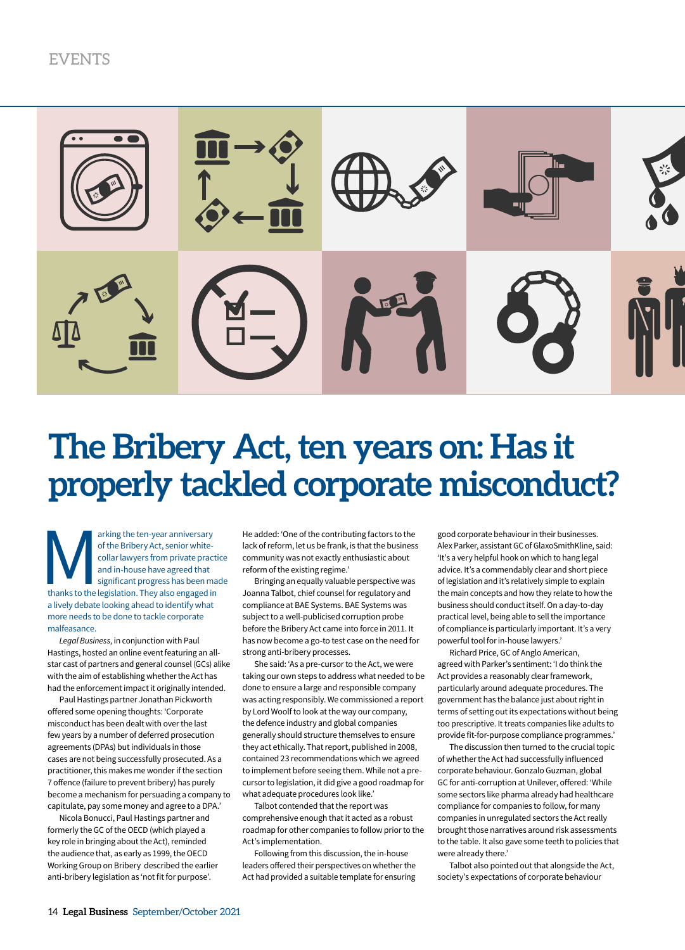

## **The Bribery Act, ten years on: Has it properly tackled corporate misconduct?**

arking the ten-year anniversary<br>
of the Bribery Act, senior white-<br>
collar lawyers from private practi<br>
and in-house have agreed that<br>
significant progress has been ma<br>
thanks to the legislation. They also engaged in of the Bribery Act, senior whitecollar lawyers from private practice and in-house have agreed that significant progress has been made a lively debate looking ahead to identify what more needs to be done to tackle corporate malfeasance.

*Legal Business*, in conjunction with Paul Hastings, hosted an online event featuring an allstar cast of partners and general counsel (GCs) alike with the aim of establishing whether the Act has had the enforcement impact it originally intended.

Paul Hastings partner Jonathan Pickworth offered some opening thoughts: 'Corporate misconduct has been dealt with over the last few years by a number of deferred prosecution agreements (DPAs) but individuals in those cases are not being successfully prosecuted. As a practitioner, this makes me wonder if the section 7 offence (failure to prevent bribery) has purely become a mechanism for persuading a company to capitulate, pay some money and agree to a DPA.'

Nicola Bonucci, Paul Hastings partner and formerly the GC of the OECD (which played a key role in bringing about the Act), reminded the audience that, as early as 1999, the OECD Working Group on Bribery described the earlier anti-bribery legislation as 'not fit for purpose'.

He added: 'One of the contributing factors to the lack of reform, let us be frank, is that the business community was not exactly enthusiastic about reform of the existing regime.'

Bringing an equally valuable perspective was Joanna Talbot, chief counsel for regulatory and compliance at BAE Systems. BAE Systems was subject to a well-publicised corruption probe before the Bribery Act came into force in 2011. It has now become a go-to test case on the need for strong anti-bribery processes.

She said: 'As a pre-cursor to the Act, we were taking our own steps to address what needed to be done to ensure a large and responsible company was acting responsibly. We commissioned a report by Lord Woolf to look at the way our company, the defence industry and global companies generally should structure themselves to ensure they act ethically. That report, published in 2008, contained 23 recommendations which we agreed to implement before seeing them. While not a precursor to legislation, it did give a good roadmap for what adequate procedures look like.'

Talbot contended that the report was comprehensive enough that it acted as a robust roadmap for other companies to follow prior to the Act's implementation.

Following from this discussion, the in-house leaders offered their perspectives on whether the Act had provided a suitable template for ensuring

good corporate behaviour in their businesses. Alex Parker, assistant GC of GlaxoSmithKline, said: 'It's a very helpful hook on which to hang legal advice. It's a commendably clear and short piece of legislation and it's relatively simple to explain the main concepts and how they relate to how the business should conduct itself. On a day-to-day practical level, being able to sell the importance of compliance is particularly important. It's a very powerful tool for in-house lawyers.'

Richard Price, GC of Anglo American, agreed with Parker's sentiment: 'I do think the Act provides a reasonably clear framework, particularly around adequate procedures. The government has the balance just about right in terms of setting out its expectations without being too prescriptive. It treats companies like adults to provide fit-for-purpose compliance programmes.'

The discussion then turned to the crucial topic of whether the Act had successfully influenced corporate behaviour. Gonzalo Guzman, global GC for anti-corruption at Unilever, offered: 'While some sectors like pharma already had healthcare compliance for companies to follow, for many companies in unregulated sectors the Act really brought those narratives around risk assessments to the table. It also gave some teeth to policies that were already there.'

Talbot also pointed out that alongside the Act, society's expectations of corporate behaviour